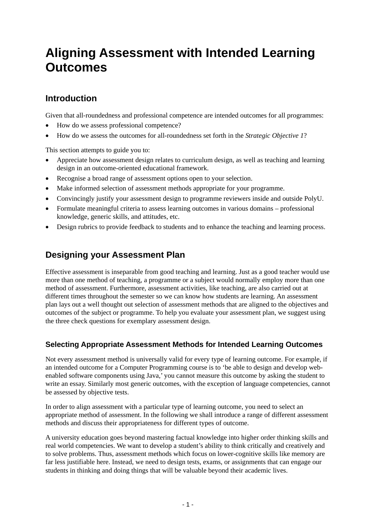# **Aligning Assessment with Intended Learning Outcomes**

# **Introduction**

Given that all-roundedness and professional competence are intended outcomes for all programmes:

- How do we assess professional competence?
- How do we assess the outcomes for all-roundedness set forth in the *Strategic Objective 1*?

This section attempts to guide you to:

- Appreciate how assessment design relates to curriculum design, as well as teaching and learning design in an outcome-oriented educational framework.
- Recognise a broad range of assessment options open to your selection.
- Make informed selection of assessment methods appropriate for your programme.
- Convincingly justify your assessment design to programme reviewers inside and outside PolyU.
- Formulate meaningful criteria to assess learning outcomes in various domains professional knowledge, generic skills, and attitudes, etc.
- Design rubrics to provide feedback to students and to enhance the teaching and learning process.

# **Designing your Assessment Plan**

Effective assessment is inseparable from good teaching and learning. Just as a good teacher would use more than one method of teaching, a programme or a subject would normally employ more than one method of assessment. Furthermore, assessment activities, like teaching, are also carried out at different times throughout the semester so we can know how students are learning. An assessment plan lays out a well thought out selection of assessment methods that are aligned to the objectives and outcomes of the subject or programme. To help you evaluate your assessment plan, we suggest using the three check questions for exemplary assessment design.

### **Selecting Appropriate Assessment Methods for Intended Learning Outcomes**

Not every assessment method is universally valid for every type of learning outcome. For example, if an intended outcome for a Computer Programming course is to 'be able to design and develop webenabled software components using Java,' you cannot measure this outcome by asking the student to write an essay. Similarly most generic outcomes, with the exception of language competencies, cannot be assessed by objective tests.

In order to align assessment with a particular type of learning outcome, you need to select an appropriate method of assessment. In the following we shall introduce a range of different assessment methods and discuss their appropriateness for different types of outcome.

A university education goes beyond mastering factual knowledge into higher order thinking skills and real world competencies. We want to develop a student's ability to think critically and creatively and to solve problems. Thus, assessment methods which focus on lower-cognitive skills like memory are far less justifiable here. Instead, we need to design tests, exams, or assignments that can engage our students in thinking and doing things that will be valuable beyond their academic lives.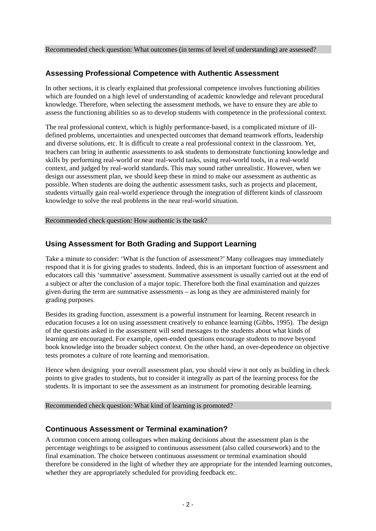# **Assessing Professional Competence with Authentic Assessment**

In other sections, it is clearly explained that professional competence involves functioning abilities which are founded on a high level of understanding of academic knowledge and relevant procedural knowledge. Therefore, when selecting the assessment methods, we have to ensure they are able to assess the functioning abilities so as to develop students with competence in the professional context.

The real professional context, which is highly performance-based, is a complicated mixture of illdefined problems, uncertainties and unexpected outcomes that demand teamwork efforts, leadership and diverse solutions, etc. It is difficult to create a real professional context in the classroom. Yet, teachers can bring in authentic assessments to ask students to demonstrate functioning knowledge and skills by performing real-world or near real-world tasks, using real-world tools, in a real-world context, and judged by real-world standards. This may sound rather unrealistic. However, when we design our assessment plan, we should keep these in mind to make our assessment as authentic as possible. When students are doing the authentic assessment tasks, such as projects and placement, students virtually gain real-world experience through the integration of different kinds of classroom knowledge to solve the real problems in the near real-world situation.

Recommended check question: How authentic is the task?

### **Using Assessment for Both Grading and Support Learning**

Take a minute to consider: 'What is the function of assessment?' Many colleagues may immediately respond that it is for giving grades to students. Indeed, this is an important function of assessment and educators call this 'summative' assessment. Summative assessment is usually carried out at the end of a subject or after the conclusion of a major topic. Therefore both the final examination and quizzes given during the term are summative assessments – as long as they are administered mainly for grading purposes.

Besides its grading function, assessment is a powerful instrument for learning. Recent research in education focuses a lot on using assessment creatively to enhance learning (Gibbs, 1995). The design of the questions asked in the assessment will send messages to the students about what kinds of learning are encouraged. For example, open-ended questions encourage students to move beyond book knowledge into the broader subject context. On the other hand, an over-dependence on objective tests promotes a culture of rote learning and memorisation.

Hence when designing your overall assessment plan, you should view it not only as building in check points to give grades to students, but to consider it integrally as part of the learning process for the students. It is important to see the assessment as an instrument for promoting desirable learning.

Recommended check question: What kind of learning is promoted?

### **Continuous Assessment or Terminal examination?**

A common concern among colleagues when making decisions about the assessment plan is the percentage weightings to be assigned to continuous assessment (also called coursework) and to the final examination. The choice between continuous assessment or terminal examination should therefore be considered in the light of whether they are appropriate for the intended learning outcomes, whether they are appropriately scheduled for providing feedback etc.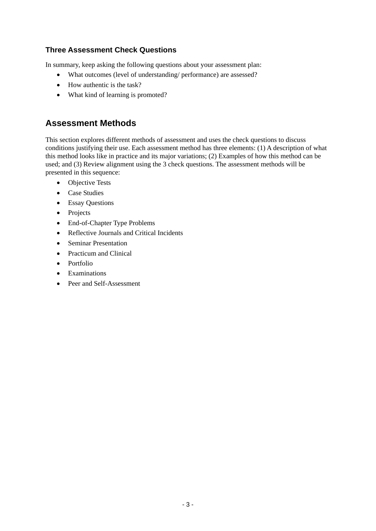# **Three Assessment Check Questions**

In summary, keep asking the following questions about your assessment plan:

- What outcomes (level of understanding/ performance) are assessed?
- How authentic is the task?
- What kind of learning is promoted?

# **Assessment Methods**

This section explores different methods of assessment and uses the check questions to discuss conditions justifying their use. Each assessment method has three elements: (1) A description of what this method looks like in practice and its major variations; (2) Examples of how this method can be used; and (3) Review alignment using the 3 check questions. The assessment methods will be presented in this sequence:

- Objective Tests
- Case Studies
- Essay Questions
- Projects
- End-of-Chapter Type Problems
- Reflective Journals and Critical Incidents
- Seminar Presentation
- Practicum and Clinical
- Portfolio
- Examinations
- Peer and Self-Assessment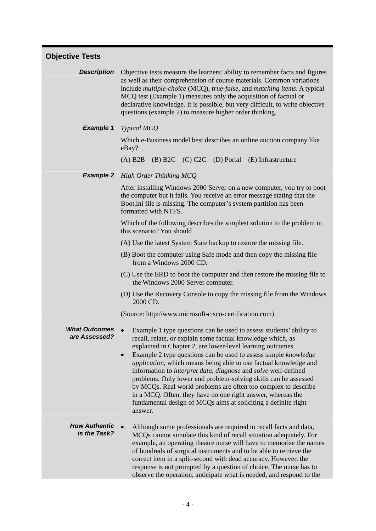| <b>Objective Tests</b> |  |
|------------------------|--|
|------------------------|--|

**Description** Objective tests measure the learners' ability to remember facts and figures as well as their comprehension of course materials. Common variations include *multiple-choice* (MCQ), *true-false*, and *matching items*. A typical MCQ test (Example 1) measures only the acquisition of factual or declarative knowledge. It is possible, but very difficult, to write objective questions (example 2) to measure higher order thinking.

*Example 1 Typical MCQ* 

Which e-Business model best describes an online auction company like eBay?

(A) B2B (B) B2C (C) C2C (D) Portal (E) Infrastructure

#### *Example 2 High Order Thinking MCQ*

After installing Windows 2000 Server on a new computer, you try to boot the computer but it fails. You receive an error message stating that the Boot.ini file is missing. The computer's system partition has been formatted with NTFS.

Which of the following describes the simplest solution to the problem in this scenario? You should

- (A) Use the latest System State backup to restore the missing file.
- (B) Boot the computer using Safe mode and then copy the missing file from a Windows 2000 CD.
- (C) Use the ERD to boot the computer and then restore the missing file to the Windows 2000 Server computer.
- (D) Use the Recovery Console to copy the missing file from the Windows 2000 CD.

(Source: http://www.microsoft-cisco-certification.com)

- *What Outcomes*
- **That Outcomes** Example 1 type questions can be used to assess students' ability to **are Assessed?** recall relate or evoluing some featual knowledge which as recall, relate, or explain some factual knowledge which, as explained in Chapter 2, are lower-level learning outcomes.
	- Example 2 type questions can be used to assess simple *knowledge application*, which means being able to use factual knowledge and information to *interpret data*, *diagnose* and *solve* well-defined problems. Only lower end problem-solving skills can be assessed by MCQs. Real world problems are often too complex to describe in a MCQ. Often, they have no one right answer, whereas the fundamental design of MCQs aims at soliciting a definite right answer.

#### *How Authentic is the Task?* • Although some professionals are required to recall facts and data, MCQs cannot simulate this kind of recall situation adequately. For example, an operating theatre nurse will have to memorise the names of hundreds of surgical instruments and to be able to retrieve the correct item in a split-second with dead accuracy. However, the response is not prompted by a question of choice. The nurse has to observe the operation, anticipate what is needed, and respond to the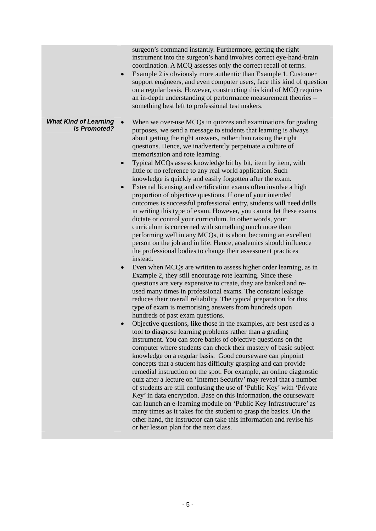surgeon's command instantly. Furthermore, getting the right instrument into the surgeon's hand involves correct eye-hand-brain coordination. A MCQ assesses only the correct recall of terms.

- Example 2 is obviously more authentic than Example 1. Customer support engineers, and even computer users, face this kind of question on a regular basis. However, constructing this kind of MCQ requires an in-depth understanding of performance measurement theories – something best left to professional test makers.
- *What Kind of Learning id of Learning* • When we over-use MCQs in quizzes and examinations for grading *is Promoted?* purposes we send a message to students that learning is always. purposes, we send a message to students that learning is always about getting the right answers, rather than raising the right questions. Hence, we inadvertently perpetuate a culture of memorisation and rote learning.
	- Typical MCQs assess knowledge bit by bit, item by item, with little or no reference to any real world application. Such knowledge is quickly and easily forgotten after the exam.
	- External licensing and certification exams often involve a high proportion of objective questions. If one of your intended outcomes is successful professional entry, students will need drills in writing this type of exam. However, you cannot let these exams dictate or control your curriculum. In other words, your curriculum is concerned with something much more than performing well in any MCQs, it is about becoming an excellent person on the job and in life. Hence, academics should influence the professional bodies to change their assessment practices instead.
	- Even when MCOs are written to assess higher order learning, as in Example 2, they still encourage rote learning. Since these questions are very expensive to create, they are banked and reused many times in professional exams. The constant leakage reduces their overall reliability. The typical preparation for this type of exam is memorising answers from hundreds upon hundreds of past exam questions.
	- Objective questions, like those in the examples, are best used as a tool to diagnose learning problems rather than a grading instrument. You can store banks of objective questions on the computer where students can check their mastery of basic subject knowledge on a regular basis. Good courseware can pinpoint concepts that a student has difficulty grasping and can provide remedial instruction on the spot. For example, an online diagnostic quiz after a lecture on 'Internet Security' may reveal that a number of students are still confusing the use of 'Public Key' with 'Private Key' in data encryption. Base on this information, the courseware can launch an e-learning module on 'Public Key Infrastructure' as many times as it takes for the student to grasp the basics. On the other hand, the instructor can take this information and revise his or her lesson plan for the next class.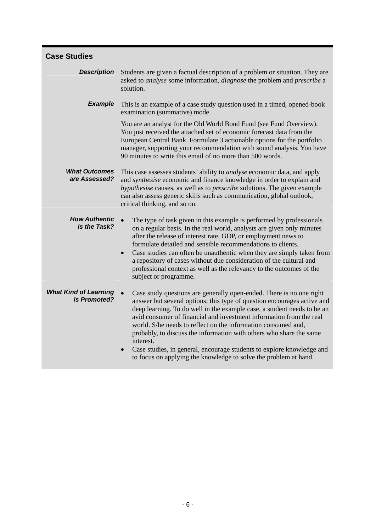| <b>Case Studies</b>                          |                                                                                                                                                                                                                                                                                                                                                                                                                                                                                                                                                                                                     |
|----------------------------------------------|-----------------------------------------------------------------------------------------------------------------------------------------------------------------------------------------------------------------------------------------------------------------------------------------------------------------------------------------------------------------------------------------------------------------------------------------------------------------------------------------------------------------------------------------------------------------------------------------------------|
| <b>Description</b>                           | Students are given a factual description of a problem or situation. They are<br>asked to <i>analyse</i> some information, <i>diagnose</i> the problem and <i>prescribe</i> a<br>solution.                                                                                                                                                                                                                                                                                                                                                                                                           |
| <b>Example</b>                               | This is an example of a case study question used in a timed, opened-book<br>examination (summative) mode.                                                                                                                                                                                                                                                                                                                                                                                                                                                                                           |
|                                              | You are an analyst for the Old World Bond Fund (see Fund Overview).<br>You just received the attached set of economic forecast data from the<br>European Central Bank. Formulate 3 actionable options for the portfolio<br>manager, supporting your recommendation with sound analysis. You have<br>90 minutes to write this email of no more than 500 words.                                                                                                                                                                                                                                       |
| <b>What Outcomes</b><br>are Assessed?        | This case assesses students' ability to <i>analyse</i> economic data, and apply<br>and <i>synthesise</i> economic and finance knowledge in order to explain and                                                                                                                                                                                                                                                                                                                                                                                                                                     |
|                                              | hypothesise causes, as well as to prescribe solutions. The given example<br>can also assess generic skills such as communication, global outlook,<br>critical thinking, and so on.                                                                                                                                                                                                                                                                                                                                                                                                                  |
| <b>How Authentic</b><br>is the Task?         | The type of task given in this example is performed by professionals<br>on a regular basis. In the real world, analysts are given only minutes<br>after the release of interest rate, GDP, or employment news to<br>formulate detailed and sensible recommendations to clients.<br>Case studies can often be unauthentic when they are simply taken from<br>$\bullet$<br>a repository of cases without due consideration of the cultural and<br>professional context as well as the relevancy to the outcomes of the<br>subject or programme.                                                       |
| <b>What Kind of Learning</b><br>is Promoted? | Case study questions are generally open-ended. There is no one right<br>answer but several options; this type of question encourages active and<br>deep learning. To do well in the example case, a student needs to be an<br>avid consumer of financial and investment information from the real<br>world. S/he needs to reflect on the information consumed and,<br>probably, to discuss the information with others who share the same<br>interest.<br>Case studies, in general, encourage students to explore knowledge and<br>to focus on applying the knowledge to solve the problem at hand. |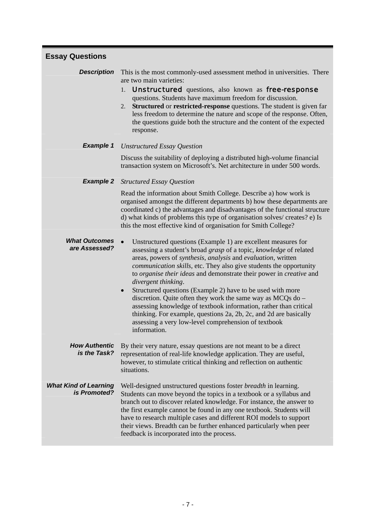| <b>Essay Questions</b>                       |                                                                                                                                                                                                                                                                                                                                                                                                                                                                                                                                                                                                                                                                                                                                                         |
|----------------------------------------------|---------------------------------------------------------------------------------------------------------------------------------------------------------------------------------------------------------------------------------------------------------------------------------------------------------------------------------------------------------------------------------------------------------------------------------------------------------------------------------------------------------------------------------------------------------------------------------------------------------------------------------------------------------------------------------------------------------------------------------------------------------|
| <b>Description</b>                           | This is the most commonly-used assessment method in universities. There<br>are two main varieties:<br><b>Unstructured</b> questions, also known as free-response<br>1.<br>questions. Students have maximum freedom for discussion.<br><b>Structured</b> or <b>restricted-response</b> questions. The student is given far<br>2.<br>less freedom to determine the nature and scope of the response. Often,<br>the questions guide both the structure and the content of the expected<br>response.                                                                                                                                                                                                                                                        |
| <b>Example 1</b>                             | <b>Unstructured Essay Question</b>                                                                                                                                                                                                                                                                                                                                                                                                                                                                                                                                                                                                                                                                                                                      |
|                                              | Discuss the suitability of deploying a distributed high-volume financial<br>transaction system on Microsoft's. Net architecture in under 500 words.                                                                                                                                                                                                                                                                                                                                                                                                                                                                                                                                                                                                     |
| <b>Example 2</b>                             | <b>Structured Essay Question</b>                                                                                                                                                                                                                                                                                                                                                                                                                                                                                                                                                                                                                                                                                                                        |
|                                              | Read the information about Smith College. Describe a) how work is<br>organised amongst the different departments b) how these departments are<br>coordinated c) the advantages and disadvantages of the functional structure<br>d) what kinds of problems this type of organisation solves/creates? e) Is<br>this the most effective kind of organisation for Smith College?                                                                                                                                                                                                                                                                                                                                                                            |
| <b>What Outcomes</b><br>are Assessed?        | $\bullet$<br>Unstructured questions (Example 1) are excellent measures for<br>assessing a student's broad grasp of a topic, knowledge of related<br>areas, powers of synthesis, analysis and evaluation, written<br><i>communication skills, etc. They also give students the opportunity</i><br>to organise their ideas and demonstrate their power in creative and<br>divergent thinking.<br>Structured questions (Example 2) have to be used with more<br>$\bullet$<br>discretion. Quite often they work the same way as MCQs do -<br>assessing knowledge of textbook information, rather than critical<br>thinking. For example, questions 2a, 2b, 2c, and 2d are basically<br>assessing a very low-level comprehension of textbook<br>information. |
| <b>How Authentic</b><br>is the Task?         | By their very nature, essay questions are not meant to be a direct<br>representation of real-life knowledge application. They are useful,<br>however, to stimulate critical thinking and reflection on authentic<br>situations.                                                                                                                                                                                                                                                                                                                                                                                                                                                                                                                         |
| <b>What Kind of Learning</b><br>is Promoted? | Well-designed unstructured questions foster <i>breadth</i> in learning.<br>Students can move beyond the topics in a textbook or a syllabus and<br>branch out to discover related knowledge. For instance, the answer to<br>the first example cannot be found in any one textbook. Students will<br>have to research multiple cases and different ROI models to support<br>their views. Breadth can be further enhanced particularly when peer<br>feedback is incorporated into the process.                                                                                                                                                                                                                                                             |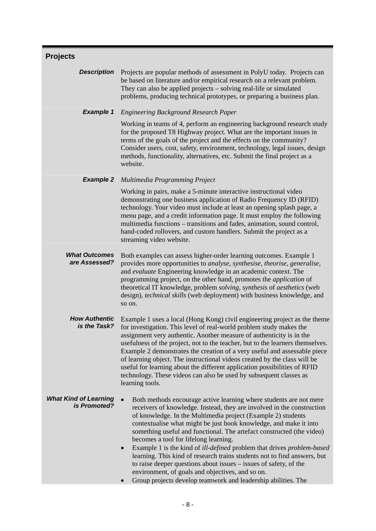| <b>Projects</b>                              |                                                                                                                                                                                                                                                                                                                                                                                                                                                                                                                                                                                                                                                                                                                                                                                |
|----------------------------------------------|--------------------------------------------------------------------------------------------------------------------------------------------------------------------------------------------------------------------------------------------------------------------------------------------------------------------------------------------------------------------------------------------------------------------------------------------------------------------------------------------------------------------------------------------------------------------------------------------------------------------------------------------------------------------------------------------------------------------------------------------------------------------------------|
| <b>Description</b>                           | Projects are popular methods of assessment in PolyU today. Projects can<br>be based on literature and/or empirical research on a relevant problem.<br>They can also be applied projects – solving real-life or simulated<br>problems, producing technical prototypes, or preparing a business plan.                                                                                                                                                                                                                                                                                                                                                                                                                                                                            |
| <b>Example 1</b>                             | <b>Engineering Background Research Paper</b>                                                                                                                                                                                                                                                                                                                                                                                                                                                                                                                                                                                                                                                                                                                                   |
|                                              | Working in teams of 4, perform an engineering background research study<br>for the proposed T8 Highway project. What are the important issues in<br>terms of the goals of the project and the effects on the community?<br>Consider users, cost, safety, environment, technology, legal issues, design<br>methods, functionality, alternatives, etc. Submit the final project as a<br>website.                                                                                                                                                                                                                                                                                                                                                                                 |
| <b>Example 2</b>                             | Multimedia Programming Project                                                                                                                                                                                                                                                                                                                                                                                                                                                                                                                                                                                                                                                                                                                                                 |
|                                              | Working in pairs, make a 5-minute interactive instructional video<br>demonstrating one business application of Radio Frequency ID (RFID)<br>technology. Your video must include at least an opening splash page, a<br>menu page, and a credit information page. It must employ the following<br>multimedia functions - transitions and fades, animation, sound control,<br>hand-coded rollovers, and custom handlers. Submit the project as a<br>streaming video website.                                                                                                                                                                                                                                                                                                      |
| <b>What Outcomes</b><br>are Assessed?        | Both examples can assess higher-order learning outcomes. Example 1<br>provides more opportunities to analyse, synthesise, theorise, generalise,<br>and evaluate Engineering knowledge in an academic context. The<br>programming project, on the other hand, promotes the <i>application</i> of<br>theoretical IT knowledge, problem solving, synthesis of aesthetics (web<br>design), technical skills (web deployment) with business knowledge, and<br>so on.                                                                                                                                                                                                                                                                                                                |
| <b>How Authentic</b><br>is the Task?         | Example 1 uses a local (Hong Kong) civil engineering project as the theme<br>for investigation. This level of real-world problem study makes the<br>assignment very authentic. Another measure of authenticity is in the<br>usefulness of the project, not to the teacher, but to the learners themselves.<br>Example 2 demonstrates the creation of a very useful and assessable piece<br>of learning object. The instructional videos created by the class will be<br>useful for learning about the different application possibilities of RFID<br>technology. These videos can also be used by subsequent classes as<br>learning tools.                                                                                                                                     |
| <b>What Kind of Learning</b><br>is Promoted? | Both methods encourage active learning where students are not mere<br>receivers of knowledge. Instead, they are involved in the construction<br>of knowledge. In the Multimedia project (Example 2) students<br>contextualise what might be just book knowledge, and make it into<br>something useful and functional. The artefact constructed (the video)<br>becomes a tool for lifelong learning.<br>Example 1 is the kind of <i>ill-defined</i> problem that drives <i>problem-based</i><br>$\bullet$<br>learning. This kind of research trains students not to find answers, but<br>to raise deeper questions about issues – issues of safety, of the<br>environment, of goals and objectives, and so on.<br>Group projects develop teamwork and leadership abilities. The |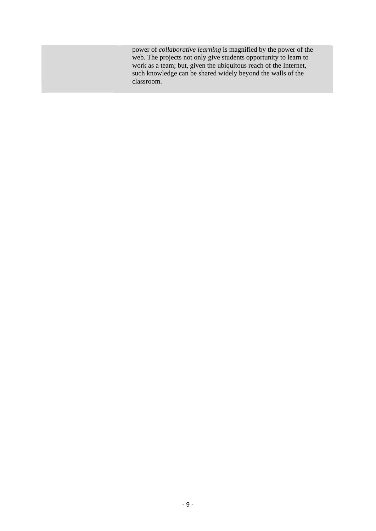power of *collaborative learning* is magnified by the power of the web. The projects not only give students opportunity to learn to work as a team; but, given the ubiquitous reach of the Internet, such knowledge can be shared widely beyond the walls of the classroom.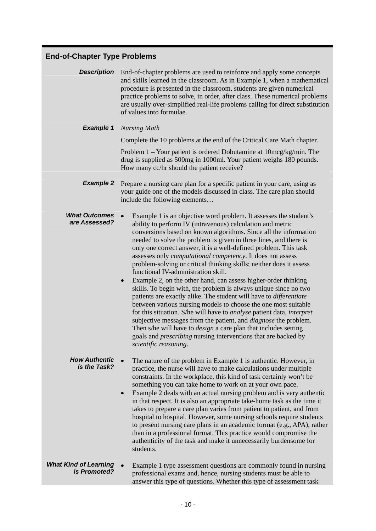| <b>End-of-Chapter Type Problems</b>          |                                                                                                                                                                                                                                                                                                                                                                                                                                                                                                                                                                                                                                                                                                                                                                                                                                                                                                                                                                                                                                                                                                                                                             |
|----------------------------------------------|-------------------------------------------------------------------------------------------------------------------------------------------------------------------------------------------------------------------------------------------------------------------------------------------------------------------------------------------------------------------------------------------------------------------------------------------------------------------------------------------------------------------------------------------------------------------------------------------------------------------------------------------------------------------------------------------------------------------------------------------------------------------------------------------------------------------------------------------------------------------------------------------------------------------------------------------------------------------------------------------------------------------------------------------------------------------------------------------------------------------------------------------------------------|
| <b>Description</b>                           | End-of-chapter problems are used to reinforce and apply some concepts<br>and skills learned in the classroom. As in Example 1, when a mathematical<br>procedure is presented in the classroom, students are given numerical<br>practice problems to solve, in order, after class. These numerical problems<br>are usually over-simplified real-life problems calling for direct substitution<br>of values into formulae.                                                                                                                                                                                                                                                                                                                                                                                                                                                                                                                                                                                                                                                                                                                                    |
| <b>Example 1</b>                             | <b>Nursing Math</b>                                                                                                                                                                                                                                                                                                                                                                                                                                                                                                                                                                                                                                                                                                                                                                                                                                                                                                                                                                                                                                                                                                                                         |
|                                              | Complete the 10 problems at the end of the Critical Care Math chapter.                                                                                                                                                                                                                                                                                                                                                                                                                                                                                                                                                                                                                                                                                                                                                                                                                                                                                                                                                                                                                                                                                      |
|                                              | Problem $1 -$ Your patient is ordered Dobutamine at $10mg/kg/min$ . The<br>drug is supplied as 500mg in 1000ml. Your patient weighs 180 pounds.<br>How many cc/hr should the patient receive?                                                                                                                                                                                                                                                                                                                                                                                                                                                                                                                                                                                                                                                                                                                                                                                                                                                                                                                                                               |
| <b>Example 2</b>                             | Prepare a nursing care plan for a specific patient in your care, using as<br>your guide one of the models discussed in class. The care plan should<br>include the following elements                                                                                                                                                                                                                                                                                                                                                                                                                                                                                                                                                                                                                                                                                                                                                                                                                                                                                                                                                                        |
| <b>What Outcomes</b><br>are Assessed?        | Example 1 is an objective word problem. It assesses the student's<br>ability to perform IV (intravenous) calculation and metric<br>conversions based on known algorithms. Since all the information<br>needed to solve the problem is given in three lines, and there is<br>only one correct answer, it is a well-defined problem. This task<br>assesses only <i>computational competency</i> . It does not assess<br>problem-solving or critical thinking skills; neither does it assess<br>functional IV-administration skill.<br>Example 2, on the other hand, can assess higher-order thinking<br>skills. To begin with, the problem is always unique since no two<br>patients are exactly alike. The student will have to differentiate<br>between various nursing models to choose the one most suitable<br>for this situation. S/he will have to <i>analyse</i> patient data, <i>interpret</i><br>subjective messages from the patient, and <i>diagnose</i> the problem.<br>Then s/he will have to <i>design</i> a care plan that includes setting<br>goals and <i>prescribing</i> nursing interventions that are backed by<br>scientific reasoning. |
| <b>How Authentic</b><br>is the Task?         | The nature of the problem in Example 1 is authentic. However, in<br>practice, the nurse will have to make calculations under multiple<br>constraints. In the workplace, this kind of task certainly won't be<br>something you can take home to work on at your own pace.<br>Example 2 deals with an actual nursing problem and is very authentic<br>in that respect. It is also an appropriate take-home task as the time it<br>takes to prepare a care plan varies from patient to patient, and from<br>hospital to hospital. However, some nursing schools require students<br>to present nursing care plans in an academic format (e.g., APA), rather<br>than in a professional format. This practice would compromise the<br>authenticity of the task and make it unnecessarily burdensome for<br>students.                                                                                                                                                                                                                                                                                                                                             |
| <b>What Kind of Learning</b><br>is Promoted? | Example 1 type assessment questions are commonly found in nursing<br>professional exams and, hence, nursing students must be able to<br>answer this type of questions. Whether this type of assessment task                                                                                                                                                                                                                                                                                                                                                                                                                                                                                                                                                                                                                                                                                                                                                                                                                                                                                                                                                 |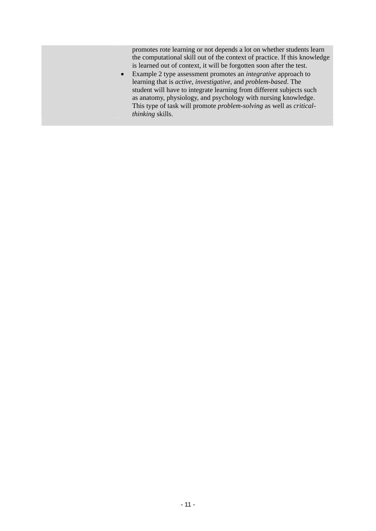promotes rote learning or not depends a lot on whether students learn the computational skill out of the context of practice. If this knowledge is learned out of context, it will be forgotten soon after the test.

• Example 2 type assessment promotes an *integrative* approach to learning that is *active*, *investigative*, and *problem-based*. The student will have to integrate learning from different subjects such as anatomy, physiology, and psychology with nursing knowledge. This type of task will promote *problem-solving* as well as *criticalthinking* skills.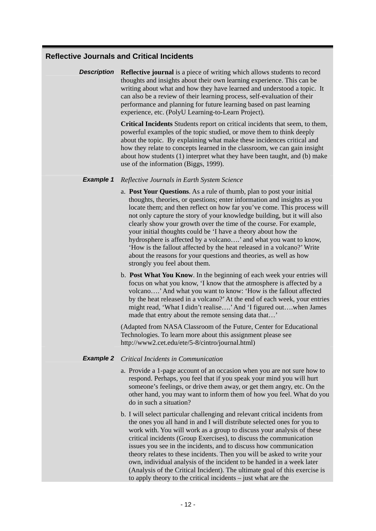# **Reflective Journals and Critical Incidents**

**Description Reflective journal** is a piece of writing which allows students to record thoughts and insights about their own learning experience. This can be writing about what and how they have learned and understood a topic. It can also be a review of their learning process, self-evaluation of their performance and planning for future learning based on past learning experience, etc. (PolyU Learning-to-Learn Project).

> **Critical Incidents** Students report on critical incidents that seem, to them, powerful examples of the topic studied, or move them to think deeply about the topic. By explaining what make these incidences critical and how they relate to concepts learned in the classroom, we can gain insight about how students (1) interpret what they have been taught, and (b) make use of the information (Biggs, 1999).

#### *Example 1 Reflective Journals in Earth System Science*

- a. **Post Your Questions**. As a rule of thumb, plan to post your initial thoughts, theories, or questions; enter information and insights as you locate them; and then reflect on how far you've come. This process will not only capture the story of your knowledge building, but it will also clearly show your growth over the time of the course. For example, your initial thoughts could be 'I have a theory about how the hydrosphere is affected by a volcano….' and what you want to know, 'How is the fallout affected by the heat released in a volcano?' Write about the reasons for your questions and theories, as well as how strongly you feel about them.
- b. **Post What You Know**. In the beginning of each week your entries will focus on what you know, 'I know that the atmosphere is affected by a volcano….' And what you want to know: 'How is the fallout affected by the heat released in a volcano?' At the end of each week, your entries might read, 'What I didn't realise….' And 'I figured out….when James made that entry about the remote sensing data that…'

(Adapted from NASA Classroom of the Future, Center for Educational Technologies. To learn more about this assignment please see http://www2.cet.edu/ete/5-8/cintro/journal.html)

#### *Example 2 Critical Incidents in Communication*

- a. Provide a 1-page account of an occasion when you are not sure how to respond. Perhaps, you feel that if you speak your mind you will hurt someone's feelings, or drive them away, or get them angry, etc. On the other hand, you may want to inform them of how you feel. What do you do in such a situation?
- b. I will select particular challenging and relevant critical incidents from the ones you all hand in and I will distribute selected ones for you to work with. You will work as a group to discuss your analysis of these critical incidents (Group Exercises), to discuss the communication issues you see in the incidents, and to discuss how communication theory relates to these incidents. Then you will be asked to write your own, individual analysis of the incident to be handed in a week later (Analysis of the Critical Incident). The ultimate goal of this exercise is to apply theory to the critical incidents – just what are the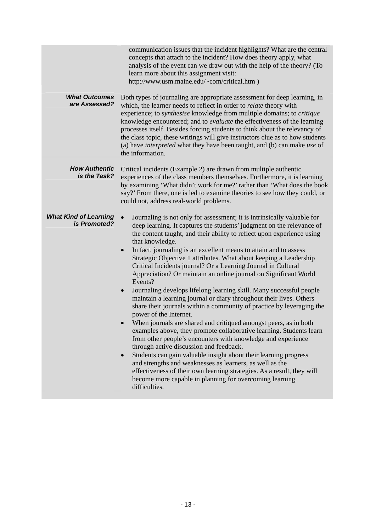| <b>What Outcomes</b><br>are Assessed?        | communication issues that the incident highlights? What are the central<br>concepts that attach to the incident? How does theory apply, what<br>analysis of the event can we draw out with the help of the theory? (To<br>learn more about this assignment visit:<br>http://www.usm.maine.edu/~com/critical.htm )<br>Both types of journaling are appropriate assessment for deep learning, in<br>which, the learner needs to reflect in order to relate theory with                                                                                                                                                                                                                                                                                                                                                                                                                                                                                                                                                                                                                                                                                                                                                                                                                                                                                           |
|----------------------------------------------|----------------------------------------------------------------------------------------------------------------------------------------------------------------------------------------------------------------------------------------------------------------------------------------------------------------------------------------------------------------------------------------------------------------------------------------------------------------------------------------------------------------------------------------------------------------------------------------------------------------------------------------------------------------------------------------------------------------------------------------------------------------------------------------------------------------------------------------------------------------------------------------------------------------------------------------------------------------------------------------------------------------------------------------------------------------------------------------------------------------------------------------------------------------------------------------------------------------------------------------------------------------------------------------------------------------------------------------------------------------|
|                                              | experience; to synthesise knowledge from multiple domains; to critique<br>knowledge encountered; and to <i>evaluate</i> the effectiveness of the learning<br>processes itself. Besides forcing students to think about the relevancy of<br>the class topic, these writings will give instructors clue as to how students<br>(a) have <i>interpreted</i> what they have been taught, and (b) can make use of<br>the information.                                                                                                                                                                                                                                                                                                                                                                                                                                                                                                                                                                                                                                                                                                                                                                                                                                                                                                                                |
| <b>How Authentic</b><br>is the Task?         | Critical incidents (Example 2) are drawn from multiple authentic<br>experiences of the class members themselves. Furthermore, it is learning<br>by examining 'What didn't work for me?' rather than 'What does the book<br>say?' From there, one is led to examine theories to see how they could, or<br>could not, address real-world problems.                                                                                                                                                                                                                                                                                                                                                                                                                                                                                                                                                                                                                                                                                                                                                                                                                                                                                                                                                                                                               |
| <b>What Kind of Learning</b><br>is Promoted? | Journaling is not only for assessment; it is intrinsically valuable for<br>deep learning. It captures the students' judgment on the relevance of<br>the content taught, and their ability to reflect upon experience using<br>that knowledge.<br>In fact, journaling is an excellent means to attain and to assess<br>$\bullet$<br>Strategic Objective 1 attributes. What about keeping a Leadership<br>Critical Incidents journal? Or a Learning Journal in Cultural<br>Appreciation? Or maintain an online journal on Significant World<br>Events?<br>Journaling develops lifelong learning skill. Many successful people<br>$\bullet$<br>maintain a learning journal or diary throughout their lives. Others<br>share their journals within a community of practice by leveraging the<br>power of the Internet.<br>When journals are shared and critiqued amongst peers, as in both<br>examples above, they promote collaborative learning. Students learn<br>from other people's encounters with knowledge and experience<br>through active discussion and feedback.<br>Students can gain valuable insight about their learning progress<br>and strengths and weaknesses as learners, as well as the<br>effectiveness of their own learning strategies. As a result, they will<br>become more capable in planning for overcoming learning<br>difficulties. |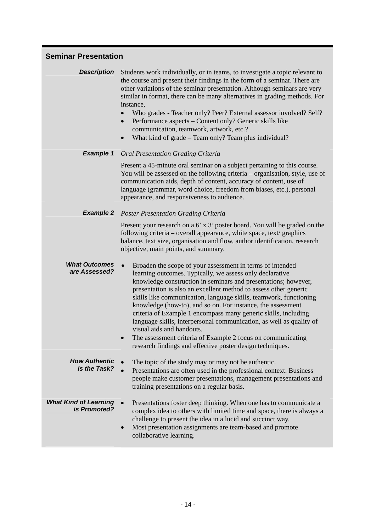# **Seminar Presentation**

**Description** Students work individually, or in teams, to investigate a topic relevant to the course and present their findings in the form of a seminar. There are other variations of the seminar presentation. Although seminars are very similar in format, there can be many alternatives in grading methods. For instance,

- Who grades Teacher only? Peer? External assessor involved? Self?
- Performance aspects Content only? Generic skills like communication, teamwork, artwork, etc.?
- What kind of grade Team only? Team plus individual?

#### *Example 1 Oral Presentation Grading Criteria*

Present a 45-minute oral seminar on a subject pertaining to this course. You will be assessed on the following criteria – organisation, style, use of communication aids, depth of content, accuracy of content, use of language (grammar, word choice, freedom from biases, etc.), personal appearance, and responsiveness to audience.

#### *Example 2 Poster Presentation Grading Criteria*

Present your research on a 6' x 3' poster board. You will be graded on the following criteria – overall appearance, white space, text/ graphics balance, text size, organisation and flow, author identification, research objective, main points, and summary.

*What Outcomes*  **That Outcomes** • Broaden the scope of your assessment in terms of intended are Assessed? learning outcomes. Typically, we assess only declarative knowledge construction in seminars and presentations; however, presentation is also an excellent method to assess other generic skills like communication, language skills, teamwork, functioning knowledge (how-to), and so on. For instance, the assessment criteria of Example 1 encompass many generic skills, including language skills, interpersonal communication, as well as quality of visual aids and handouts.

> The assessment criteria of Example 2 focus on communicating research findings and effective poster design techniques.

*How Authentic*  The topic of the study may or may not be authentic. • Presentations are often used in the professional context. Business people make customer presentations, management presentations and training presentations on a regular basis.

- *What Kind of Learning is Promoted?* • Presentations foster deep thinking. When one has to communicate a **is Promoted?** complex idea to others with limited time and space, there is always a complex idea to others with limited time and space, there is always a challenge to present the idea in a lucid and succinct way.
	- Most presentation assignments are team-based and promote collaborative learning.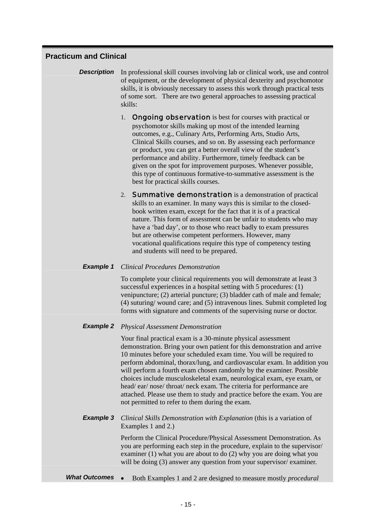# **Practicum and Clinical**

- **Description** In professional skill courses involving lab or clinical work, use and control of equipment, or the development of physical dexterity and psychomotor skills, it is obviously necessary to assess this work through practical tests of some sort. There are two general approaches to assessing practical skills:
	- 1. **Ongoing observation** is best for courses with practical or psychomotor skills making up most of the intended learning outcomes, e.g., Culinary Arts, Performing Arts, Studio Arts, Clinical Skills courses, and so on. By assessing each performance or product, you can get a better overall view of the student's performance and ability. Furthermore, timely feedback can be given on the spot for improvement purposes. Whenever possible, this type of continuous formative-to-summative assessment is the best for practical skills courses.
	- 2. **Summative demonstration** is a demonstration of practical skills to an examiner. In many ways this is similar to the closedbook written exam, except for the fact that it is of a practical nature. This form of assessment can be unfair to students who may have a 'bad day', or to those who react badly to exam pressures but are otherwise competent performers. However, many vocational qualifications require this type of competency testing and students will need to be prepared.

#### *Example 1 Clinical Procedures Demonstration*

To complete your clinical requirements you will demonstrate at least 3 successful experiences in a hospital setting with 5 procedures: (1) venipuncture; (2) arterial puncture; (3) bladder cath of male and female; (4) suturing/ wound care; and (5) intravenous lines. Submit completed log forms with signature and comments of the supervising nurse or doctor.

#### *Example 2 Physical Assessment Demonstration*

Your final practical exam is a 30-minute physical assessment demonstration. Bring your own patient for this demonstration and arrive 10 minutes before your scheduled exam time. You will be required to perform abdominal, thorax/lung, and cardiovascular exam. In addition you will perform a fourth exam chosen randomly by the examiner. Possible choices include musculoskeletal exam, neurological exam, eye exam, or head/ ear/ nose/ throat/ neck exam. The criteria for performance are attached. Please use them to study and practice before the exam. You are not permitted to refer to them during the exam.

#### **Example 3** *Clinical Skills Demonstration with Explanation* (this is a variation of Examples 1 and 2.)

Perform the Clinical Procedure/Physical Assessment Demonstration. As you are performing each step in the procedure, explain to the supervisor/ examiner (1) what you are about to do (2) why you are doing what you will be doing (3) answer any question from your supervisor/ examiner.

*What Outcomes* • Both Examples 1 and 2 are designed to measure mostly *procedural*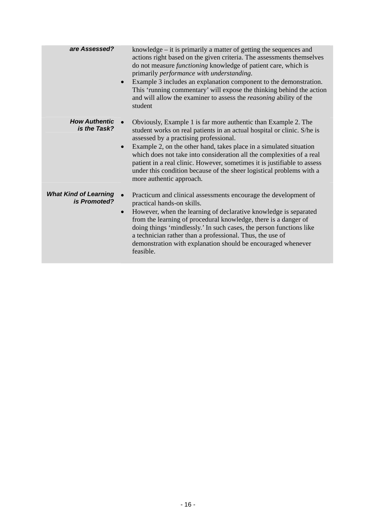| are Assessed?                                | knowledge – it is primarily a matter of getting the sequences and<br>actions right based on the given criteria. The assessments themselves<br>do not measure <i>functioning</i> knowledge of patient care, which is<br>primarily performance with understanding.<br>Example 3 includes an explanation component to the demonstration.<br>$\bullet$<br>This 'running commentary' will expose the thinking behind the action<br>and will allow the examiner to assess the <i>reasoning</i> ability of the<br>student              |
|----------------------------------------------|---------------------------------------------------------------------------------------------------------------------------------------------------------------------------------------------------------------------------------------------------------------------------------------------------------------------------------------------------------------------------------------------------------------------------------------------------------------------------------------------------------------------------------|
| <b>How Authentic</b><br>is the Task?         | Obviously, Example 1 is far more authentic than Example 2. The<br>student works on real patients in an actual hospital or clinic. S/he is<br>assessed by a practising professional.<br>Example 2, on the other hand, takes place in a simulated situation<br>$\bullet$<br>which does not take into consideration all the complexities of a real<br>patient in a real clinic. However, sometimes it is justifiable to assess<br>under this condition because of the sheer logistical problems with a<br>more authentic approach. |
| <b>What Kind of Learning</b><br>is Promoted? | Practicum and clinical assessments encourage the development of<br>practical hands-on skills.<br>However, when the learning of declarative knowledge is separated<br>$\bullet$<br>from the learning of procedural knowledge, there is a danger of<br>doing things 'mindlessly.' In such cases, the person functions like<br>a technician rather than a professional. Thus, the use of<br>demonstration with explanation should be encouraged whenever<br>feasible.                                                              |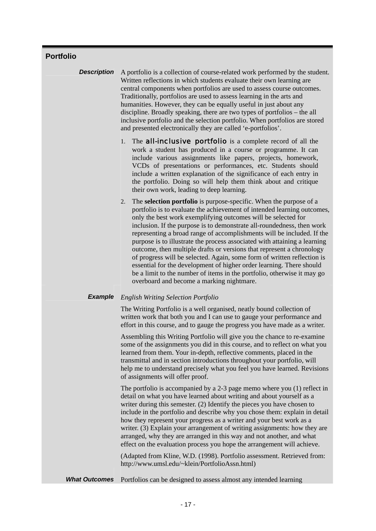# **Portfolio**

**Description** A portfolio is a collection of course-related work performed by the student. Written reflections in which students evaluate their own learning are central components when portfolios are used to assess course outcomes. Traditionally, portfolios are used to assess learning in the arts and humanities. However, they can be equally useful in just about any discipline. Broadly speaking, there are two types of portfolios – the all inclusive portfolio and the selection portfolio. When portfolios are stored and presented electronically they are called 'e-portfolios'.

> 1. The **all-inclusive portfolio** is a complete record of all the work a student has produced in a course or programme. It can include various assignments like papers, projects, homework, VCDs of presentations or performances, etc. Students should include a written explanation of the significance of each entry in the portfolio. Doing so will help them think about and critique their own work, leading to deep learning.

2. The **selection portfolio** is purpose-specific. When the purpose of a portfolio is to evaluate the achievement of intended learning outcomes, only the best work exemplifying outcomes will be selected for inclusion. If the purpose is to demonstrate all-roundedness, then work representing a broad range of accomplishments will be included. If the purpose is to illustrate the process associated with attaining a learning outcome, then multiple drafts or versions that represent a chronology of progress will be selected. Again, some form of written reflection is essential for the development of higher order learning. There should be a limit to the number of items in the portfolio, otherwise it may go overboard and become a marking nightmare.

#### *Example English Writing Selection Portfolio*

The Writing Portfolio is a well organised, neatly bound collection of written work that both you and I can use to gauge your performance and effort in this course, and to gauge the progress you have made as a writer.

Assembling this Writing Portfolio will give you the chance to re-examine some of the assignments you did in this course, and to reflect on what you learned from them. Your in-depth, reflective comments, placed in the transmittal and in section introductions throughout your portfolio, will help me to understand precisely what you feel you have learned. Revisions of assignments will offer proof.

The portfolio is accompanied by a 2-3 page memo where you (1) reflect in detail on what you have learned about writing and about yourself as a writer during this semester. (2) Identify the pieces you have chosen to include in the portfolio and describe why you chose them: explain in detail how they represent your progress as a writer and your best work as a writer. (3) Explain your arrangement of writing assignments: how they are arranged, why they are arranged in this way and not another, and what effect on the evaluation process you hope the arrangement will achieve.

(Adapted from Kline, W.D. (1998). Portfolio assessment. Retrieved from: http://www.umsl.edu/~klein/PortfolioAssn.html)

**What Outcomes** Portfolios can be designed to assess almost any intended learning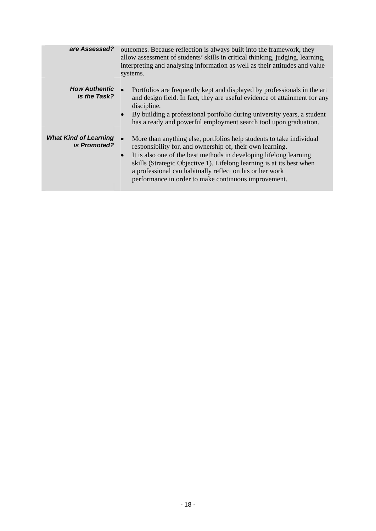| are Assessed?                                | outcomes. Because reflection is always built into the framework, they<br>allow assessment of students' skills in critical thinking, judging, learning,<br>interpreting and analysing information as well as their attitudes and value<br>systems.                                                                                                                                                                              |
|----------------------------------------------|--------------------------------------------------------------------------------------------------------------------------------------------------------------------------------------------------------------------------------------------------------------------------------------------------------------------------------------------------------------------------------------------------------------------------------|
| <b>How Authentic</b><br>is the Task?         | Portfolios are frequently kept and displayed by professionals in the art<br>and design field. In fact, they are useful evidence of attainment for any<br>discipline.<br>By building a professional portfolio during university years, a student<br>$\bullet$<br>has a ready and powerful employment search tool upon graduation.                                                                                               |
| <b>What Kind of Learning</b><br>is Promoted? | More than anything else, portfolios help students to take individual<br>$\bullet$<br>responsibility for, and ownership of, their own learning.<br>It is also one of the best methods in developing lifelong learning<br>$\bullet$<br>skills (Strategic Objective 1). Lifelong learning is at its best when<br>a professional can habitually reflect on his or her work<br>performance in order to make continuous improvement. |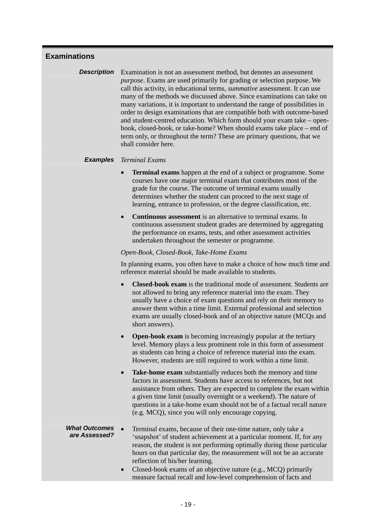# **Examinations**

**Description** Examination is not an assessment method, but denotes an assessment *purpose*. Exams are used primarily for grading or selection purpose. We call this activity, in educational terms, *summative* assessment. It can use many of the methods we discussed above. Since examinations can take on many variations, it is important to understand the range of possibilities in order to design examinations that are compatible both with outcome-based and student-centred education. Which form should your exam take – openbook, closed-book, or take-home? When should exams take place – end of term only, or throughout the term? These are primary questions, that we shall consider here.

#### *Examples Terminal Exams*

- **Terminal exams** happen at the end of a subject or programme. Some courses have one major terminal exam that contributes most of the grade for the course. The outcome of terminal exams usually determines whether the student can proceed to the next stage of learning, entrance to profession, or the degree classification, etc.
- **Continuous assessment** is an alternative to terminal exams. In continuous assessment student grades are determined by aggregating the performance on exams, tests, and other assessment activities undertaken throughout the semester or programme.

#### *Open-Book, Closed-Book, Take-Home Exams*

In planning exams, you often have to make a choice of how much time and reference material should be made available to students.

- **Closed-book exam** is the traditional mode of assessment. Students are not allowed to bring any reference material into the exam. They usually have a choice of exam questions and rely on their memory to answer them within a time limit. External professional and selection exams are usually closed-book and of an objective nature (MCQs and short answers).
- **Open-book exam** is becoming increasingly popular at the tertiary level. Memory plays a less prominent role in this form of assessment as students can bring a choice of reference material into the exam. However, students are still required to work within a time limit.
- **Take-home exam** substantially reduces both the memory and time factors in assessment. Students have access to references, but not assistance from others. They are expected to complete the exam within a given time limit (usually overnight or a weekend). The nature of questions in a take-home exam should not be of a factual recall nature (e.g. MCQ), since you will only encourage copying.

#### *What Outcomes*  **That Outcomes** • Terminal exams, because of their one-time nature, only take a **are Assessed?** (spanshot) of student ashiovement at a perticular moment. If the 'snapshot' of student achievement at a particular moment. If, for any reason, the student is not performing optimally during those particular hours on that particular day, the measurement will not be an accurate reflection of his/her learning.

• Closed-book exams of an objective nature (e.g., MCQ) primarily measure factual recall and low-level comprehension of facts and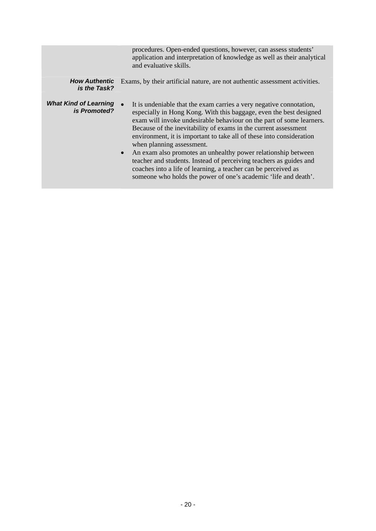|                                              | procedures. Open-ended questions, however, can assess students'<br>application and interpretation of knowledge as well as their analytical<br>and evaluative skills.                                                                                                                                                                                                                                                                                                                                                                                                                                                                                                               |
|----------------------------------------------|------------------------------------------------------------------------------------------------------------------------------------------------------------------------------------------------------------------------------------------------------------------------------------------------------------------------------------------------------------------------------------------------------------------------------------------------------------------------------------------------------------------------------------------------------------------------------------------------------------------------------------------------------------------------------------|
| <b>How Authentic</b><br>is the Task?         | Exams, by their artificial nature, are not authentic assessment activities.                                                                                                                                                                                                                                                                                                                                                                                                                                                                                                                                                                                                        |
| <b>What Kind of Learning</b><br>is Promoted? | It is undeniable that the exam carries a very negative connotation,<br>especially in Hong Kong. With this baggage, even the best designed<br>exam will invoke undesirable behaviour on the part of some learners.<br>Because of the inevitability of exams in the current assessment<br>environment, it is important to take all of these into consideration<br>when planning assessment.<br>An exam also promotes an unhealthy power relationship between<br>$\bullet$<br>teacher and students. Instead of perceiving teachers as guides and<br>coaches into a life of learning, a teacher can be perceived as<br>someone who holds the power of one's academic 'life and death'. |
|                                              |                                                                                                                                                                                                                                                                                                                                                                                                                                                                                                                                                                                                                                                                                    |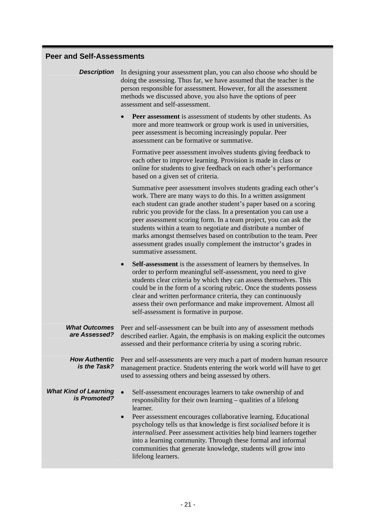# **Peer and Self-Assessments**

| <b>Description</b>                           | In designing your assessment plan, you can also choose who should be<br>doing the assessing. Thus far, we have assumed that the teacher is the<br>person responsible for assessment. However, for all the assessment<br>methods we discussed above, you also have the options of peer<br>assessment and self-assessment.                                                                                                                                                                                                                                                          |
|----------------------------------------------|-----------------------------------------------------------------------------------------------------------------------------------------------------------------------------------------------------------------------------------------------------------------------------------------------------------------------------------------------------------------------------------------------------------------------------------------------------------------------------------------------------------------------------------------------------------------------------------|
|                                              | Peer assessment is assessment of students by other students. As<br>more and more teamwork or group work is used in universities,<br>peer assessment is becoming increasingly popular. Peer<br>assessment can be formative or summative.                                                                                                                                                                                                                                                                                                                                           |
|                                              | Formative peer assessment involves students giving feedback to<br>each other to improve learning. Provision is made in class or<br>online for students to give feedback on each other's performance<br>based on a given set of criteria.                                                                                                                                                                                                                                                                                                                                          |
|                                              | Summative peer assessment involves students grading each other's<br>work. There are many ways to do this. In a written assignment<br>each student can grade another student's paper based on a scoring<br>rubric you provide for the class. In a presentation you can use a<br>peer assessment scoring form. In a team project, you can ask the<br>students within a team to negotiate and distribute a number of<br>marks amongst themselves based on contribution to the team. Peer<br>assessment grades usually complement the instructor's grades in<br>summative assessment. |
|                                              | Self-assessment is the assessment of learners by themselves. In<br>$\bullet$<br>order to perform meaningful self-assessment, you need to give<br>students clear criteria by which they can assess themselves. This<br>could be in the form of a scoring rubric. Once the students possess<br>clear and written performance criteria, they can continuously<br>assess their own performance and make improvement. Almost all<br>self-assessment is formative in purpose.                                                                                                           |
| <b>What Outcomes</b><br>are Assessed?        | Peer and self-assessment can be built into any of assessment methods<br>described earlier. Again, the emphasis is on making explicit the outcomes<br>assessed and their performance criteria by using a scoring rubric.                                                                                                                                                                                                                                                                                                                                                           |
| <b>How Authentic</b><br>is the Task?         | Peer and self-assessments are very much a part of modern human resource<br>management practice. Students entering the work world will have to get<br>used to assessing others and being assessed by others.                                                                                                                                                                                                                                                                                                                                                                       |
| <b>What Kind of Learning</b><br>is Promoted? | Self-assessment encourages learners to take ownership of and<br>responsibility for their own learning – qualities of a lifelong<br>learner.<br>Peer assessment encourages collaborative learning. Educational<br>psychology tells us that knowledge is first socialised before it is<br>internalised. Peer assessment activities help bind learners together<br>into a learning community. Through these formal and informal<br>communities that generate knowledge, students will grow into<br>lifelong learners.                                                                |